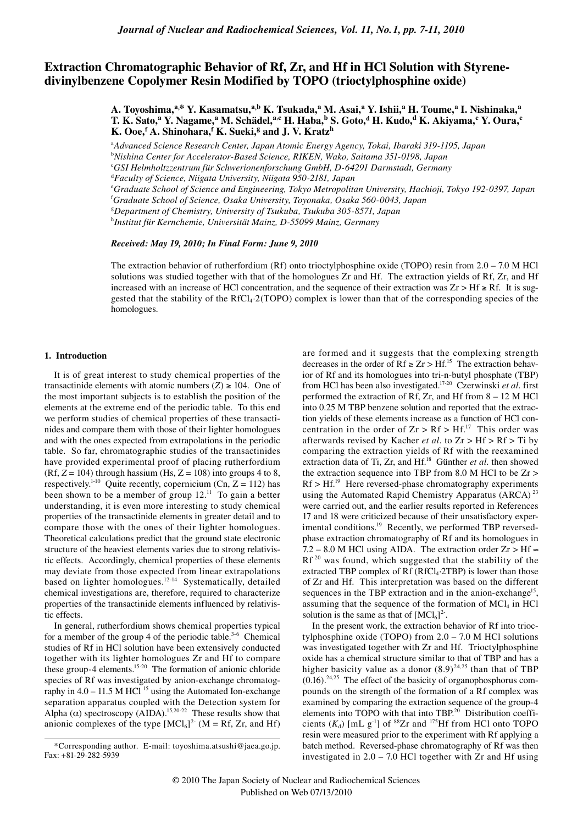# **Extraction Chromatographic Behavior of Rf, Zr, and Hf in HCl Solution with Styrenedivinylbenzene Copolymer Resin Modified by TOPO (trioctylphosphine oxide)**

A. Toyoshima, $^{\mathrm{a},\mathrm{*}}$  Y. Kasamatsu, $^{\mathrm{a},\mathrm{b}}$  K. Tsukada, $^{\mathrm{a}}$  M. Asai, $^{\mathrm{a}}$  Y. Ishii, $^{\mathrm{a}}$  H. Toume, $^{\mathrm{a}}$  I. Nishinaka, $^{\mathrm{a}}$ **T. K. Sato,<sup>a</sup> Y. Nagame,<sup>a</sup> M. Schädel,a,c H. Haba,b S. Goto,d H. Kudo,d K. Akiyama,e Y. Oura,<sup>e</sup>**  $K$ . Ooe,<sup>f</sup> A. Shinohara,<sup>f</sup> K. Sueki,<sup>g</sup> and J. V. Kratz<sup>h</sup>

a *Advanced Science Research Center, Japan Atomic Energy Agency, Tokai, Ibaraki 319-1195, Japan*

b *Nishina Center for Accelerator-Based Science, RIKEN, Wako, Saitama 351-0198, Japan*

c *GSI Helmholtzzentrum für Schwerionenforschung GmbH, D-64291 Darmstadt, Germany*

d *Faculty of Science, Niigata University, Niigata 950-2181, Japan*

e *Graduate School of Science and Engineering, Tokyo Metropolitan University, Hachioji, Tokyo 192-0397, Japan*

f *Graduate School of Science, Osaka University, Toyonaka, Osaka 560-0043, Japan*

g *Department of Chemistry, University of Tsukuba, Tsukuba 305-8571, Japan*

h *Institut für Kernchemie, Universität Mainz, D-55099 Mainz, Germany*

## *Received: May 19, 2010; In Final Form: June 9, 2010*

The extraction behavior of rutherfordium (Rf) onto trioctylphosphine oxide (TOPO) resin from 2.0 – 7.0 M HCl solutions was studied together with that of the homologues Zr and Hf. The extraction yields of Rf, Zr, and Hf increased with an increase of HCl concentration, and the sequence of their extraction was  $Zr > Hf \geq Rf$ . It is suggested that the stability of the RfCl4·2(TOPO) complex is lower than that of the corresponding species of the homologues.

#### **1. Introduction**

It is of great interest to study chemical properties of the transactinide elements with atomic numbers  $(Z) \ge 104$ . One of the most important subjects is to establish the position of the elements at the extreme end of the periodic table. To this end we perform studies of chemical properties of these transactinides and compare them with those of their lighter homologues and with the ones expected from extrapolations in the periodic table. So far, chromatographic studies of the transactinides have provided experimental proof of placing rutherfordium  $(Rf, Z = 104)$  through hassium  $(Hs, Z = 108)$  into groups 4 to 8, respectively.<sup>1-10</sup> Ouite recently, copernicium (Cn,  $Z = 112$ ) has been shown to be a member of group 12.<sup>11</sup> To gain a better understanding, it is even more interesting to study chemical properties of the transactinide elements in greater detail and to compare those with the ones of their lighter homologues. Theoretical calculations predict that the ground state electronic structure of the heaviest elements varies due to strong relativistic effects. Accordingly, chemical properties of these elements may deviate from those expected from linear extrapolations based on lighter homologues.<sup>12-14</sup> Systematically, detailed chemical investigations are, therefore, required to characterize properties of the transactinide elements influenced by relativistic effects.

In general, rutherfordium shows chemical properties typical for a member of the group 4 of the periodic table.<sup>3-6</sup> Chemical studies of Rf in HCl solution have been extensively conducted together with its lighter homologues Zr and Hf to compare these group-4 elements.15-20 The formation of anionic chloride species of Rf was investigated by anion-exchange chromatography in  $4.0 - 11.5$  M HCl <sup>15</sup> using the Automated Ion-exchange separation apparatus coupled with the Detection system for Alpha  $(\alpha)$  spectroscopy (AIDA).<sup>15,20-22</sup> These results show that anionic complexes of the type  $[MCl_6]^2$ <sup>c</sup> (M = Rf, Zr, and Hf)

are formed and it suggests that the complexing strength decreases in the order of  $Rf \ge Zr > Hf$ <sup>15</sup>. The extraction behavior of Rf and its homologues into tri-n-butyl phosphate (TBP) from HCl has been also investigated.17-20 Czerwinski *et al*. first performed the extraction of Rf, Zr, and Hf from 8 – 12 M HCl into 0.25 M TBP benzene solution and reported that the extraction yields of these elements increase as a function of HCl concentration in the order of  $Zr > Rf > Hf<sup>17</sup>$ . This order was afterwards revised by Kacher *et al*. to Zr > Hf > Rf > Ti by comparing the extraction yields of Rf with the reexamined extraction data of Ti, Zr, and Hf.<sup>18</sup> Günther *et al*. then showed the extraction sequence into TBP from 8.0 M HCl to be Zr >  $Rf > Hf<sup>19</sup>$  Here reversed-phase chromatography experiments using the Automated Rapid Chemistry Apparatus  $(ARCA)^{23}$ were carried out, and the earlier results reported in References 17 and 18 were criticized because of their unsatisfactory experimental conditions.<sup>19</sup> Recently, we performed TBP reversedphase extraction chromatography of Rf and its homologues in 7.2 – 8.0 M HCl using AIDA. The extraction order  $Zr > Hf \approx$ Rf<sup>20</sup> was found, which suggested that the stability of the extracted TBP complex of Rf (RfCl<sub>4</sub>.2TBP) is lower than those of Zr and Hf. This interpretation was based on the different sequences in the TBP extraction and in the anion-exchange<sup>15</sup>, assuming that the sequence of the formation of  $MCl<sub>4</sub>$  in  $HCl$ solution is the same as that of  $[MCl_6]^2$ .

In the present work, the extraction behavior of Rf into trioctylphosphine oxide (TOPO) from 2.0 – 7.0 M HCl solutions was investigated together with Zr and Hf. Trioctylphosphine oxide has a chemical structure similar to that of TBP and has a higher basicity value as a donor  $(8.9)^{24,25}$  than that of TBP  $(0.16)$ .<sup>24,25</sup> The effect of the basicity of organophosphorus compounds on the strength of the formation of a Rf complex was examined by comparing the extraction sequence of the group-4 elements into TOPO with that into TBP.<sup>20</sup> Distribution coefficients  $(K_d)$  [mL g<sup>-1</sup>] of <sup>88</sup>Zr and <sup>175</sup>Hf from HCl onto TOPO resin were measured prior to the experiment with Rf applying a batch method. Reversed-phase chromatography of Rf was then investigated in 2.0 – 7.0 HCl together with Zr and Hf using

<sup>\*</sup>Corresponding author. E-mail: toyoshima.atsushi@jaea.go.jp. Fax: +81-29-282-5939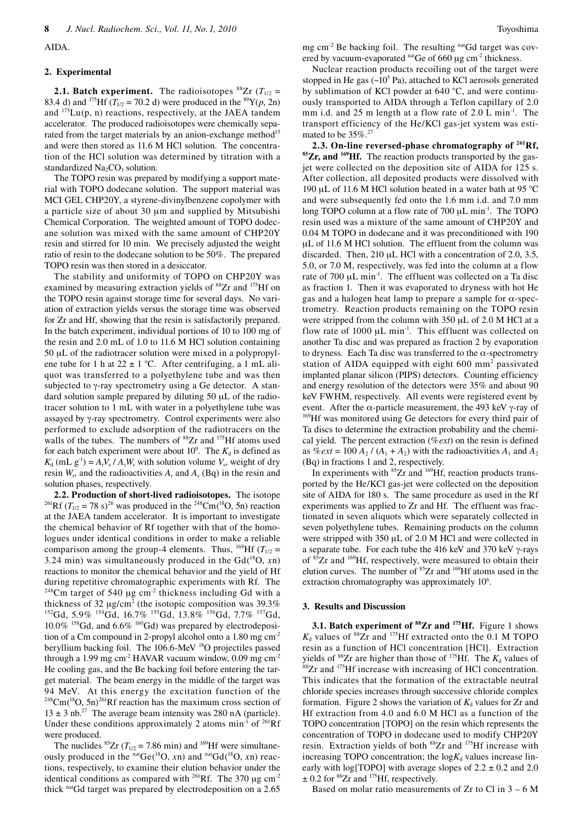AIDA.

## **2. Experimental**

**2.1. Batch experiment.** The radioisotopes  ${}^{88}Zr$  ( $T_{1/2}$  = 83.4 d) and <sup>175</sup>Hf ( $T_{1/2}$  = 70.2 d) were produced in the <sup>89</sup>Y(*p*, 2n) and  $175Lu(p, n)$  reactions, respectively, at the JAEA tandem accelerator. The produced radioisotopes were chemically separated from the target materials by an anion-exchange method<sup>15</sup> and were then stored as 11.6 M HCl solution. The concentration of the HCl solution was determined by titration with a standardized  $Na_2CO_3$  solution.

The TOPO resin was prepared by modifying a support material with TOPO dodecane solution. The support material was MCI GEL CHP20Y, a styrene-divinylbenzene copolymer with a particle size of about 30  $\mu$ m and supplied by Mitsubishi Chemical Corporation. The weighted amount of TOPO dodecane solution was mixed with the same amount of CHP20Y resin and stirred for 10 min. We precisely adjusted the weight ratio of resin to the dodecane solution to be 50%. The prepared TOPO resin was then stored in a desiccator.

The stability and uniformity of TOPO on CHP20Y was examined by measuring extraction yields of <sup>88</sup>Zr and <sup>175</sup>Hf on the TOPO resin against storage time for several days. No variation of extraction yields versus the storage time was observed for Zr and Hf, showing that the resin is satisfactorily prepared. In the batch experiment, individual portions of 10 to 100 mg of the resin and 2.0 mL of 1.0 to 11.6 M HCl solution containing 50 µL of the radiotracer solution were mixed in a polypropylene tube for 1 h at  $22 \pm 1$  °C. After centrifuging, a 1 mL aliquot was transferred to a polyethylene tube and was then subjected to γ-ray spectrometry using a Ge detector. A standard solution sample prepared by diluting 50 µL of the radiotracer solution to 1 mL with water in a polyethylene tube was assayed by γ-ray spectrometry. Control experiments were also performed to exclude adsorption of the radiotracers on the walls of the tubes. The numbers of <sup>88</sup>Zr and <sup>175</sup>Hf atoms used for each batch experiment were about  $10^9$ . The  $K_d$  is defined as  $K_d$  (mL  $g^{-1}$ ) =  $A_rV_s / A_sW_r$  with solution volume  $V_s$ , weight of dry resin  $W_r$ , and the radioactivities  $A_r$  and  $A_s$  (Bq) in the resin and solution phases, respectively.

**2.2. Production of short-lived radioisotopes.** The isotope <sup>261</sup>Rf ( $T_{1/2} = 78$  s)<sup>26</sup> was produced in the <sup>248</sup>Cm(<sup>18</sup>O, 5n) reaction at the JAEA tandem accelerator. It is important to investigate the chemical behavior of Rf together with that of the homologues under identical conditions in order to make a reliable comparison among the group-4 elements. Thus,  $^{169}$ Hf ( $T_{1/2}$  = 3.24 min) was simultaneously produced in the  $Gd(^{18}O, xn)$ reactions to monitor the chemical behavior and the yield of Hf during repetitive chromatographic experiments with Rf. The  $248$ Cm target of 540 µg cm<sup>-2</sup> thickness including Gd with a thickness of 32  $\mu$ g/cm<sup>2</sup> (the isotopic composition was 39.3%)  $^{152}Gd$ , 5.9%  $^{154}Gd$ , 16.7%  $^{155}Gd$ , 13.8%  $^{156}Gd$ , 7.7%  $^{157}Gd$ ,  $10.0\%$  <sup>158</sup>Gd, and 6.6% <sup>160</sup>Gd) was prepared by electrodeposition of a Cm compound in 2-propyl alcohol onto a  $1.80$  mg  $cm<sup>2</sup>$ beryllium backing foil. The 106.6-MeV <sup>18</sup>O projectiles passed through a 1.99 mg cm<sup>-2</sup> HAVAR vacuum window, 0.09 mg cm<sup>-2</sup> He cooling gas, and the Be backing foil before entering the target material. The beam energy in the middle of the target was 94 MeV. At this energy the excitation function of the  $^{248}$ Cm( $^{18}$ O, 5n)<sup>261</sup>Rf reaction has the maximum cross section of  $13 \pm 3$  nb.<sup>27</sup> The average beam intensity was 280 nA (particle). Under these conditions approximately 2 atoms  $min^{-1}$  of  $261Rf$ were produced.

The nuclides <sup>85</sup>Zr ( $T_{1/2}$  = 7.86 min) and <sup>169</sup>Hf were simultaneously produced in the  $<sup>nat</sup>Ge(<sup>18</sup>O, xn)$  and  $<sup>nat</sup>Gd(<sup>18</sup>O, xn)$  reac-</sup></sup> tions, respectively, to examine their elution behavior under the identical conditions as compared with <sup>261</sup>Rf. The 370  $\mu$ g cm<sup>-2</sup> thick natGd target was prepared by electrodeposition on a 2.65 mg cm<sup>-2</sup> Be backing foil. The resulting natGd target was covered by vacuum-evaporated natGe of 660 µg cm<sup>-2</sup> thickness.

Nuclear reaction products recoiling out of the target were stopped in He gas  $(\sim 10^5 \text{ Pa})$ , attached to KCl aerosols generated by sublimation of KCl powder at 640 °C, and were continuously transported to AIDA through a Teflon capillary of 2.0 mm i.d. and 25 m length at a flow rate of 2.0 L min<sup>-1</sup>. The transport efficiency of the He/KCl gas-jet system was estimated to be  $35\%$ .<sup>27</sup>

**2.3. On-line reversed-phase chromatography of <sup>261</sup>Rf, <sup>85</sup>Zr, and <sup>169</sup>Hf. The reaction products transported by the gas**jet were collected on the deposition site of AIDA for 125 s. After collection, all deposited products were dissolved with 190 µL of 11.6 M HCl solution heated in a water bath at 95  $\degree$ C and were subsequently fed onto the 1.6 mm i.d. and 7.0 mm long TOPO column at a flow rate of 700  $\mu$ L min<sup>-1</sup>. The TOPO resin used was a mixture of the same amount of CHP20Y and 0.04 M TOPO in dodecane and it was preconditioned with 190 µL of 11.6 M HCl solution. The effluent from the column was discarded. Then, 210 µL HCl with a concentration of 2.0, 3.5, 5.0, or 7.0 M, respectively, was fed into the column at a flow rate of  $700 \mu L \text{ min}^{-1}$ . The effluent was collected on a Ta disc as fraction 1. Then it was evaporated to dryness with hot He gas and a halogen heat lamp to prepare a sample for  $\alpha$ -spectrometry. Reaction products remaining on the TOPO resin were stripped from the column with  $350 \mu L$  of 2.0 M HCl at a flow rate of  $1000 \mu L \text{ min}^{-1}$ . This effluent was collected on another Ta disc and was prepared as fraction 2 by evaporation to dryness. Each Ta disc was transferred to the α-spectrometry station of AIDA equipped with eight 600 mm<sup>2</sup> passivated implanted planar silicon (PIPS) detectors. Counting efficiency and energy resolution of the detectors were 35% and about 90 keV FWHM, respectively. All events were registered event by event. After the α-particle measurement, the 493 keV γ-ray of  $169$ Hf was monitored using Ge detectors for every third pair of Ta discs to determine the extraction probability and the chemical yield. The percent extraction (*%ext*) on the resin is defined as  $\%ext = 100 A_2 / (A_1 + A_2)$  with the radioactivities  $A_1$  and  $A_2$ (Bq) in fractions 1 and 2, respectively.

In experiments with <sup>85</sup>Zr and <sup>169</sup>Hf, reaction products transported by the He/KCl gas-jet were collected on the deposition site of AIDA for 180 s. The same procedure as used in the Rf experiments was applied to Zr and Hf. The effluent was fractionated in seven aliquots which were separately collected in seven polyethylene tubes. Remaining products on the column were stripped with 350  $\mu$ L of 2.0 M HCl and were collected in a separate tube. For each tube the 416 keV and 370 keV γ-rays of 85Zr and 169Hf, respectively, were measured to obtain their elution curves. The number of  ${}^{85}Zr$  and  ${}^{169}Hf$  atoms used in the extraction chromatography was approximately  $10<sup>6</sup>$ .

#### **3. Results and Discussion**

**3.1. Batch experiment of <sup>88</sup>Zr and <sup>175</sup>Hf.** Figure 1 shows  $K_d$  values of <sup>88</sup>Zr and <sup>175</sup>Hf extracted onto the 0.1 M TOPO resin as a function of HCl concentration [HCl]. Extraction yields of  ${}^{88}Zr$  are higher than those of  ${}^{175}Hf$ . The  $K_d$  values of <sup>88</sup>Zr and <sup>175</sup>Hf increase with increasing of HCl concentration. This indicates that the formation of the extractable neutral chloride species increases through successive chloride complex formation. Figure 2 shows the variation of  $K_d$  values for Zr and Hf extraction from 4.0 and 6.0 M HCl as a function of the TOPO concentration [TOPO] on the resin which represents the concentration of TOPO in dodecane used to modify CHP20Y resin. Extraction yields of both <sup>88</sup>Zr and <sup>175</sup>Hf increase with increasing TOPO concentration; the  $log K_d$  values increase linearly with log[TOPO] with average slopes of  $2.2 \pm 0.2$  and  $2.0$  $\pm$  0.2 for <sup>88</sup>Zr and <sup>175</sup>Hf, respectively.

Based on molar ratio measurements of Zr to Cl in 3 – 6 M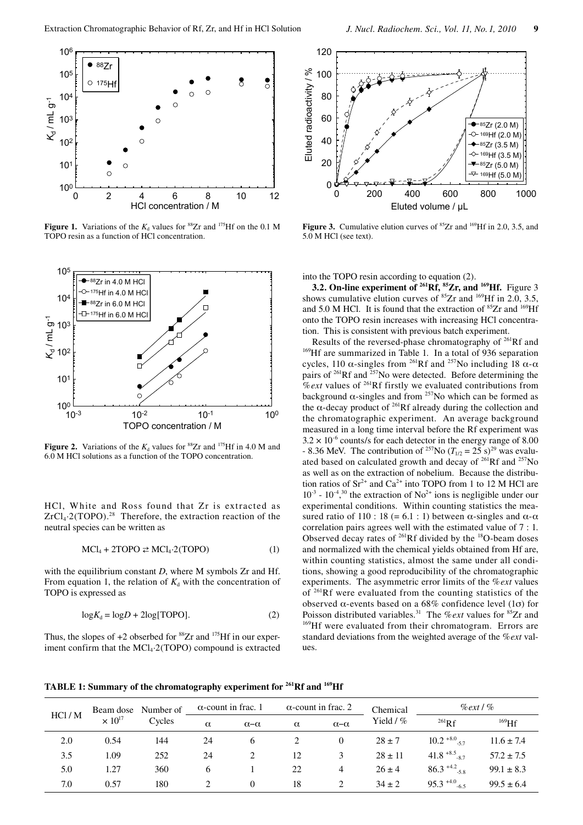

**Figure 1.** Variations of the  $K_d$  values for <sup>88</sup>Zr and <sup>175</sup>Hf on the 0.1 M TOPO resin as a function of HCl concentration.



**Figure 2.** Variations of the  $K_d$  values for <sup>88</sup>Zr and <sup>175</sup>Hf in 4.0 M and 6.0 M HCl solutions as a function of the TOPO concentration.

HCl, White and Ross found that Zr is extracted as  $ZrCl<sub>4</sub>·2(TOPO).<sup>28</sup>$  Therefore, the extraction reaction of the neutral species can be written as

$$
MCl_4 + 2TOPO \rightleftarrows MCl_4 \cdot 2(TOPO)
$$
 (1)

with the equilibrium constant *D*, where M symbols Zr and Hf. From equation 1, the relation of  $K_d$  with the concentration of TOPO is expressed as

$$
\log K_d = \log D + 2\log[\text{TOPO}].\tag{2}
$$

Thus, the slopes of  $+2$  obserbed for <sup>88</sup>Zr and <sup>175</sup>Hf in our experiment confirm that the  $MCl_4·2(TOPO)$  compound is extracted



Figure 3. Cumulative elution curves of <sup>85</sup>Zr and <sup>169</sup>Hf in 2.0, 3.5, and 5.0 M HCl (see text).

into the TOPO resin according to equation (2).

**3.2. On-line experiment of <sup>261</sup>Rf, <sup>85</sup>Zr, and <sup>169</sup>Hf. Figure 3** shows cumulative elution curves of  ${}^{85}Zr$  and  ${}^{169}Hf$  in 2.0, 3.5, and 5.0 M HCl. It is found that the extraction of  ${}^{85}Zr$  and  ${}^{169}Hf$ onto the TOPO resin increases with increasing HCl concentration. This is consistent with previous batch experiment.

Results of the reversed-phase chromatography of <sup>261</sup>Rf and 169Hf are summarized in Table 1. In a total of 936 separation cycles, 110  $\alpha$ -singles from <sup>261</sup>Rf and <sup>257</sup>No including 18  $\alpha$ - $\alpha$ pairs of <sup>261</sup>Rf and <sup>257</sup>No were detected. Before determining the  $\mathcal{C}_{\text{text}}$  values of <sup>261</sup>Rf firstly we evaluated contributions from background  $\alpha$ -singles and from <sup>257</sup>No which can be formed as the  $\alpha$ -decay product of <sup>261</sup>Rf already during the collection and the chromatographic experiment. An average background measured in a long time interval before the Rf experiment was  $3.2 \times 10^{-6}$  counts/s for each detector in the energy range of 8.00 - 8.36 MeV. The contribution of <sup>257</sup>No  $(T_{1/2} = 25 \text{ s})^{29}$  was evaluated based on calculated growth and decay of  $^{261}Rf$  and  $^{257}No$ as well as on the extraction of nobelium. Because the distribution ratios of  $Sr^{2+}$  and  $Ca^{2+}$  into TOPO from 1 to 12 M HCl are  $10^{-3}$  -  $10^{-4}$ ,<sup>30</sup> the extraction of No<sup>2+</sup> ions is negligible under our experimental conditions. Within counting statistics the measured ratio of 110 : 18 (= 6.1 : 1) between  $\alpha$ -singles and  $\alpha$ - $\alpha$ correlation pairs agrees well with the estimated value of 7 : 1. Observed decay rates of <sup>261</sup>Rf divided by the <sup>18</sup>O-beam doses and normalized with the chemical yields obtained from Hf are, within counting statistics, almost the same under all conditions, showing a good reproducibility of the chromatographic experiments. The asymmetric error limits of the %*ext* values of 261Rf were evaluated from the counting statistics of the observed α-events based on a 68% confidence level (1σ) for Poisson distributed variables.<sup>31</sup> The %*ext* values for <sup>85</sup>Zr and <sup>169</sup>Hf were evaluated from their chromatogram. Errors are standard deviations from the weighted average of the %*ext* values.

**TABLE 1: Summary of the chromatography experiment for 261Rf and 169Hf**

| HCl/M | Beam dose<br>$\times 10^{17}$ | Number of<br>Cycles | $\alpha$ -count in frac. 1 |                 | $\alpha$ -count in frac. 2 |                 | Chemical    | $\%$ ext / $\%$             |                |
|-------|-------------------------------|---------------------|----------------------------|-----------------|----------------------------|-----------------|-------------|-----------------------------|----------------|
|       |                               |                     | $\alpha$                   | $\alpha-\alpha$ | $\alpha$                   | $\alpha-\alpha$ | Yield $/$ % | $^{261}Rf$                  | $169$ Hf       |
| 2.0   | 0.54                          | 144                 | 24                         | <sub>6</sub>    |                            | $\overline{0}$  | $28 \pm 7$  | $10.2^{+8.0}$ <sub>57</sub> | $11.6 \pm 7.4$ |
| 3.5   | 1.09                          | 252                 | 24                         |                 | 12                         |                 | $28 \pm 11$ | 41.8 $*8.5$ <sub>-87</sub>  | $57.2 \pm 7.5$ |
| 5.0   | 1.27                          | 360                 | 6                          |                 | 22                         | 4               | $26 \pm 4$  | $86.3^{+4.2}$ 5.8           | $99.1 \pm 8.3$ |
| 7.0   | 0.57                          | 180                 |                            | 0               | 18                         |                 | $34 \pm 2$  | $95.3^{+4.0}$               | $99.5 \pm 6.4$ |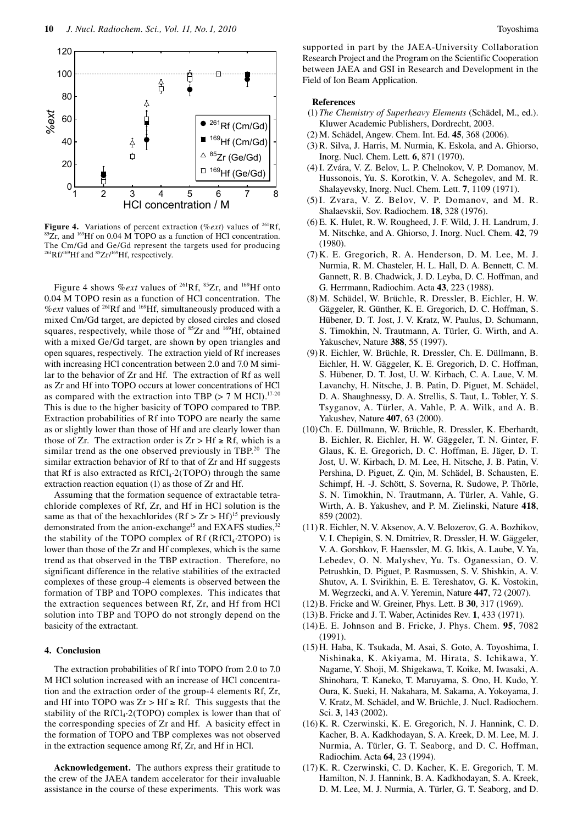

**Figure 4.** Variations of percent extraction (*%ext*) values of <sup>261</sup>Rf, <sup>85</sup>Zr, and <sup>169</sup>Hf on 0.04 M TOPO as a function of HCl concentration. The Cm/Gd and Ge/Gd represent the targets used for producing  $^{261}$ Rf/<sup>169</sup>Hf and  $^{85}Zr/^{169}$ Hf, respectively.

Figure 4 shows %*ext* values of <sup>261</sup>Rf, <sup>85</sup>Zr, and <sup>169</sup>Hf onto 0.04 M TOPO resin as a function of HCl concentration. The %*ext* values of 261Rf and 169Hf, simultaneously produced with a mixed Cm/Gd target, are depicted by closed circles and closed squares, respectively, while those of <sup>85</sup>Zr and <sup>169</sup>Hf, obtained with a mixed Ge/Gd target, are shown by open triangles and open squares, respectively. The extraction yield of Rf increases with increasing HCl concentration between 2.0 and 7.0 M similar to the behavior of Zr and Hf. The extraction of Rf as well as Zr and Hf into TOPO occurs at lower concentrations of HCl as compared with the extraction into TBP ( $> 7$  M HCl).<sup>17-20</sup> This is due to the higher basicity of TOPO compared to TBP. Extraction probabilities of Rf into TOPO are nearly the same as or slightly lower than those of Hf and are clearly lower than those of Zr. The extraction order is  $Zr > Hf \geq Rf$ , which is a similar trend as the one observed previously in TBP.<sup>20</sup> The similar extraction behavior of Rf to that of Zr and Hf suggests that Rf is also extracted as  $RfCl<sub>4</sub>·2(TOPO)$  through the same extraction reaction equation (1) as those of Zr and Hf.

Assuming that the formation sequence of extractable tetrachloride complexes of Rf, Zr, and Hf in HCl solution is the same as that of the hexachlorides  $(Rf > Zr > Hf)^{15}$  previously demonstrated from the anion-exchange<sup>15</sup> and EXAFS studies,  $32$ the stability of the TOPO complex of  $Rf (RfCl<sub>4</sub>·2TOPO)$  is lower than those of the Zr and Hf complexes, which is the same trend as that observed in the TBP extraction. Therefore, no significant difference in the relative stabilities of the extracted complexes of these group-4 elements is observed between the formation of TBP and TOPO complexes. This indicates that the extraction sequences between Rf, Zr, and Hf from HCl solution into TBP and TOPO do not strongly depend on the basicity of the extractant.

#### **4. Conclusion**

The extraction probabilities of Rf into TOPO from 2.0 to 7.0 M HCl solution increased with an increase of HCl concentration and the extraction order of the group-4 elements Rf, Zr, and Hf into TOPO was  $Zr > Hf \geq Rf$ . This suggests that the stability of the RfCl4·2(TOPO) complex is lower than that of the corresponding species of Zr and Hf. A basicity effect in the formation of TOPO and TBP complexes was not observed in the extraction sequence among Rf, Zr, and Hf in HCl.

**Acknowledgement.** The authors express their gratitude to the crew of the JAEA tandem accelerator for their invaluable assistance in the course of these experiments. This work was

supported in part by the JAEA-University Collaboration Research Project and the Program on the Scientific Cooperation between JAEA and GSI in Research and Development in the Field of Ion Beam Application.

### **References**

- (1) *The Chemistry of Superheavy Elements* (Schädel, M., ed.). Kluwer Academic Publishers, Dordrecht, 2003.
- (2)M. Schädel, Angew. Chem. Int. Ed. **45**, 368 (2006).
- (3)R. Silva, J. Harris, M. Nurmia, K. Eskola, and A. Ghiorso, Inorg. Nucl. Chem. Lett. **6**, 871 (1970).
- (4)I. Zvára, V. Z. Belov, L. P. Chelnokov, V. P. Domanov, M. Hussonois, Yu. S. Korotkin, V. A. Schegolev, and M. R. Shalayevsky, Inorg. Nucl. Chem. Lett. **7**, 1109 (1971).
- (5)I. Zvara, V. Z. Belov, V. P. Domanov, and M. R. Shalaevskii, Sov. Radiochem. **18**, 328 (1976).
- (6)E. K. Hulet, R. W. Rougheed, J. F. Wild, J. H. Landrum, J. M. Nitschke, and A. Ghiorso, J. Inorg. Nucl. Chem. **42**, 79 (1980).
- (7) K. E. Gregorich, R. A. Henderson, D. M. Lee, M. J. Nurmia, R. M. Chasteler, H. L. Hall, D. A. Bennett, C. M. Gannett, R. B. Chadwick, J. D. Leyba, D. C. Hoffman, and G. Herrmann, Radiochim. Acta **43**, 223 (1988).
- (8)M. Schädel, W. Brüchle, R. Dressler, B. Eichler, H. W. Gäggeler, R. Günther, K. E. Gregorich, D. C. Hoffman, S. Hübener, D. T. Jost, J. V. Kratz, W. Paulus, D. Schumann, S. Timokhin, N. Trautmann, A. Türler, G. Wirth, and A. Yakuschev, Nature **388**, 55 (1997).
- (9)R. Eichler, W. Brüchle, R. Dressler, Ch. E. Düllmann, B. Eichler, H. W. Gäggeler, K. E. Gregorich, D. C. Hoffman, S. Hübener, D. T. Jost, U. W. Kirbach, C. A. Laue, V. M. Lavanchy, H. Nitsche, J. B. Patin, D. Piguet, M. Schädel, D. A. Shaughnessy, D. A. Strellis, S. Taut, L. Tobler, Y. S. Tsyganov, A. Türler, A. Vahle, P. A. Wilk, and A. B. Yakushev, Nature **407**, 63 (2000).
- (10)Ch. E. Düllmann, W. Brüchle, R. Dressler, K. Eberhardt, B. Eichler, R. Eichler, H. W. Gäggeler, T. N. Ginter, F. Glaus, K. E. Gregorich, D. C. Hoffman, E. Jäger, D. T. Jost, U. W. Kirbach, D. M. Lee, H. Nitsche, J. B. Patin, V. Pershina, D. Piguet, Z. Qin, M. Schädel, B. Schausten, E. Schimpf, H. -J. Schött, S. Soverna, R. Sudowe, P. Thörle, S. N. Timokhin, N. Trautmann, A. Türler, A. Vahle, G. Wirth, A. B. Yakushev, and P. M. Zielinski, Nature **418**, 859 (2002).
- (11)R. Eichler, N. V. Aksenov, A. V. Belozerov, G. A. Bozhikov, V. I. Chepigin, S. N. Dmitriev, R. Dressler, H. W. Gäggeler, V. A. Gorshkov, F. Haenssler, M. G. Itkis, A. Laube, V. Ya, Lebedev, O. N. Malyshev, Yu. Ts. Oganessian, O. V. Petrushkin, D. Piguet, P. Rasmussen, S. V. Shishkin, A. V. Shutov, A. I. Svirikhin, E. E. Tereshatov, G. K. Vostokin, M. Wegrzecki, and A. V. Yeremin, Nature **447**, 72 (2007).
- (12)B. Fricke and W. Greiner, Phys. Lett. B **30**, 317 (1969).
- (13)B. Fricke and J. T. Waber, Actinides Rev. **1**, 433 (1971).
- (14)E. E. Johnson and B. Fricke, J. Phys. Chem. **95**, 7082 (1991).
- (15)H. Haba, K. Tsukada, M. Asai, S. Goto, A. Toyoshima, I. Nishinaka, K. Akiyama, M. Hirata, S. Ichikawa, Y. Nagame, Y. Shoji, M. Shigekawa, T. Koike, M. Iwasaki, A. Shinohara, T. Kaneko, T. Maruyama, S. Ono, H. Kudo, Y. Oura, K. Sueki, H. Nakahara, M. Sakama, A. Yokoyama, J. V. Kratz, M. Schädel, and W. Brüchle, J. Nucl. Radiochem. Sci. **3**, 143 (2002).
- (16)K. R. Czerwinski, K. E. Gregorich, N. J. Hannink, C. D. Kacher, B. A. Kadkhodayan, S. A. Kreek, D. M. Lee, M. J. Nurmia, A. Türler, G. T. Seaborg, and D. C. Hoffman, Radiochim. Acta **64**, 23 (1994).
- (17)K. R. Czerwinski, C. D. Kacher, K. E. Gregorich, T. M. Hamilton, N. J. Hannink, B. A. Kadkhodayan, S. A. Kreek, D. M. Lee, M. J. Nurmia, A. Türler, G. T. Seaborg, and D.